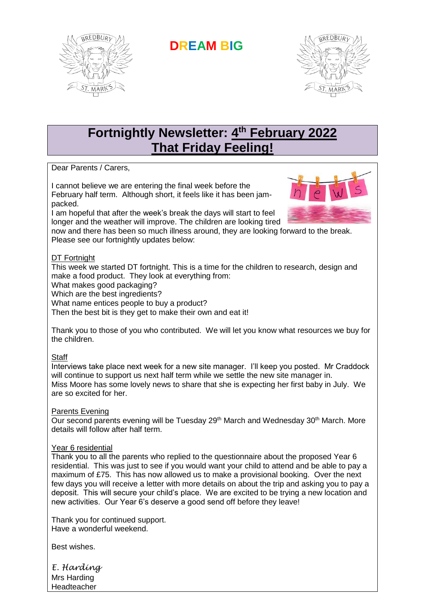

**DREAM BIG**



# **Fortnightly Newsletter: 4 th February 2022 That Friday Feeling!**

Dear Parents / Carers,

I cannot believe we are entering the final week before the February half term. Although short, it feels like it has been jampacked.

I am hopeful that after the week's break the days will start to feel longer and the weather will improve. The children are looking tired



now and there has been so much illness around, they are looking forward to the break. Please see our fortnightly updates below:

#### DT Fortnight

This week we started DT fortnight. This is a time for the children to research, design and make a food product. They look at everything from:

What makes good packaging?

Which are the best ingredients?

What name entices people to buy a product?

Then the best bit is they get to make their own and eat it!

Thank you to those of you who contributed. We will let you know what resources we buy for the children.

## **Staff**

Interviews take place next week for a new site manager. I'll keep you posted. Mr Craddock will continue to support us next half term while we settle the new site manager in. Miss Moore has some lovely news to share that she is expecting her first baby in July. We are so excited for her.

## Parents Evening

Our second parents evening will be Tuesday 29<sup>th</sup> March and Wednesday 30<sup>th</sup> March. More details will follow after half term.

#### Year 6 residential

Thank you to all the parents who replied to the questionnaire about the proposed Year 6 residential. This was just to see if you would want your child to attend and be able to pay a maximum of £75. This has now allowed us to make a provisional booking. Over the next few days you will receive a letter with more details on about the trip and asking you to pay a deposit. This will secure your child's place. We are excited to be trying a new location and new activities. Our Year 6's deserve a good send off before they leave!

Thank you for continued support. Have a wonderful weekend.

Best wishes.

*E. Harding* Mrs Harding **Headteacher**